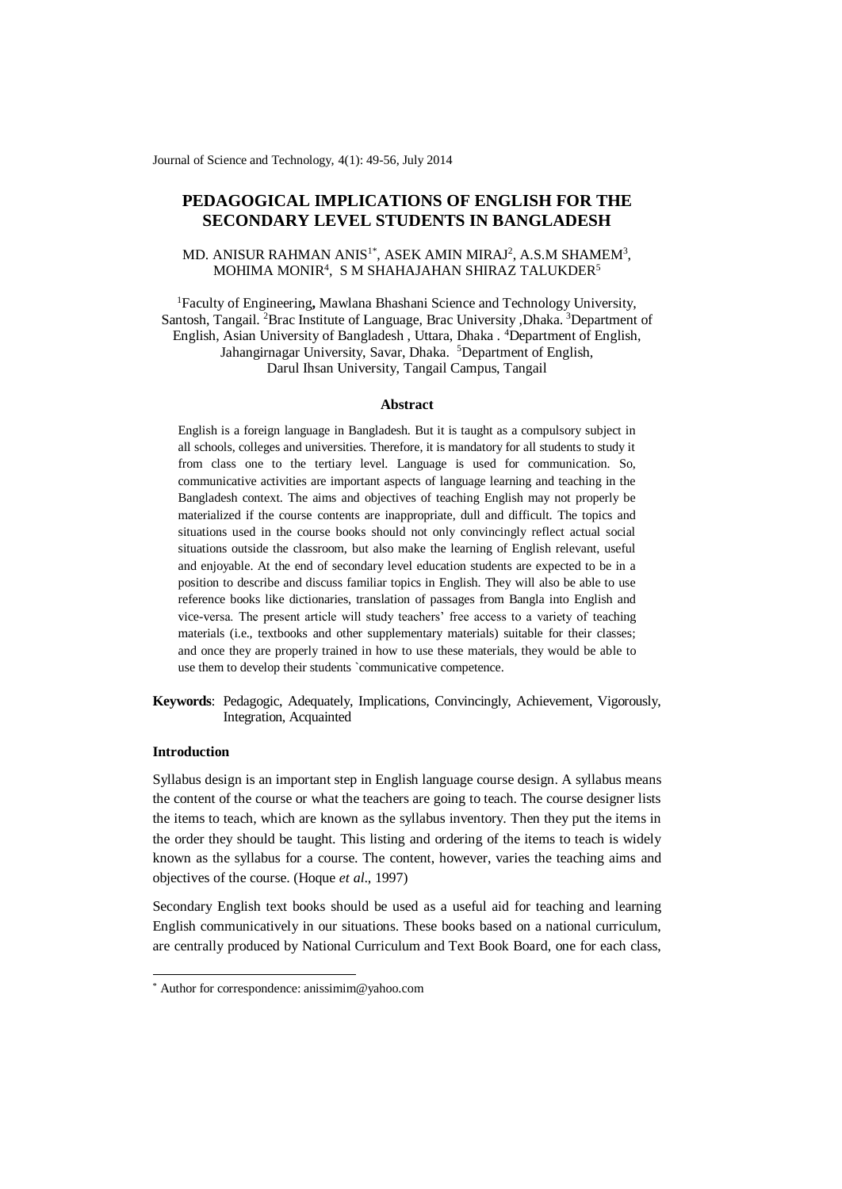Journal of Science and Technology, 4(1): 49-56, July 2014

# **PEDAGOGICAL IMPLICATIONS OF ENGLISH FOR THE SECONDARY LEVEL STUDENTS IN BANGLADESH**

# MD. ANISUR RAHMAN ANIS $1^*$ , ASEK AMIN MIRAJ $^2$ , A.S.M SHAMEM $^3$ , MOHIMA MONIR<sup>4</sup>, S M SHAHAJAHAN SHIRAZ TALUKDER<sup>5</sup>

<sup>1</sup>Faculty of Engineering**,** Mawlana Bhashani Science and Technology University, Santosh, Tangail. <sup>2</sup>Brac Institute of Language, Brac University ,Dhaka. <sup>3</sup>Department of English, Asian University of Bangladesh , Uttara, Dhaka . <sup>4</sup>Department of English, Jahangirnagar University, Savar, Dhaka. <sup>5</sup>Department of English, Darul Ihsan University, Tangail Campus, Tangail

#### **Abstract**

English is a foreign language in Bangladesh. But it is taught as a compulsory subject in all schools, colleges and universities. Therefore, it is mandatory for all students to study it from class one to the tertiary level. Language is used for communication. So, communicative activities are important aspects of language learning and teaching in the Bangladesh context. The aims and objectives of teaching English may not properly be materialized if the course contents are inappropriate, dull and difficult. The topics and situations used in the course books should not only convincingly reflect actual social situations outside the classroom, but also make the learning of English relevant, useful and enjoyable. At the end of secondary level education students are expected to be in a position to describe and discuss familiar topics in English. They will also be able to use reference books like dictionaries, translation of passages from Bangla into English and vice-versa. The present article will study teachers' free access to a variety of teaching materials (i.e., textbooks and other supplementary materials) suitable for their classes; and once they are properly trained in how to use these materials, they would be able to use them to develop their students `communicative competence.

**Keywords**: Pedagogic, Adequately, Implications, Convincingly, Achievement, Vigorously, Integration, Acquainted

### **Introduction**

-

Syllabus design is an important step in English language course design. A syllabus means the content of the course or what the teachers are going to teach. The course designer lists the items to teach, which are known as the syllabus inventory. Then they put the items in the order they should be taught. This listing and ordering of the items to teach is widely known as the syllabus for a course. The content, however, varies the teaching aims and objectives of the course. (Hoque *et al*., 1997)

Secondary English text books should be used as a useful aid for teaching and learning English communicatively in our situations. These books based on a national curriculum, are centrally produced by National Curriculum and Text Book Board, one for each class,

<sup>\*</sup> Author for correspondence: anissimim@yahoo.com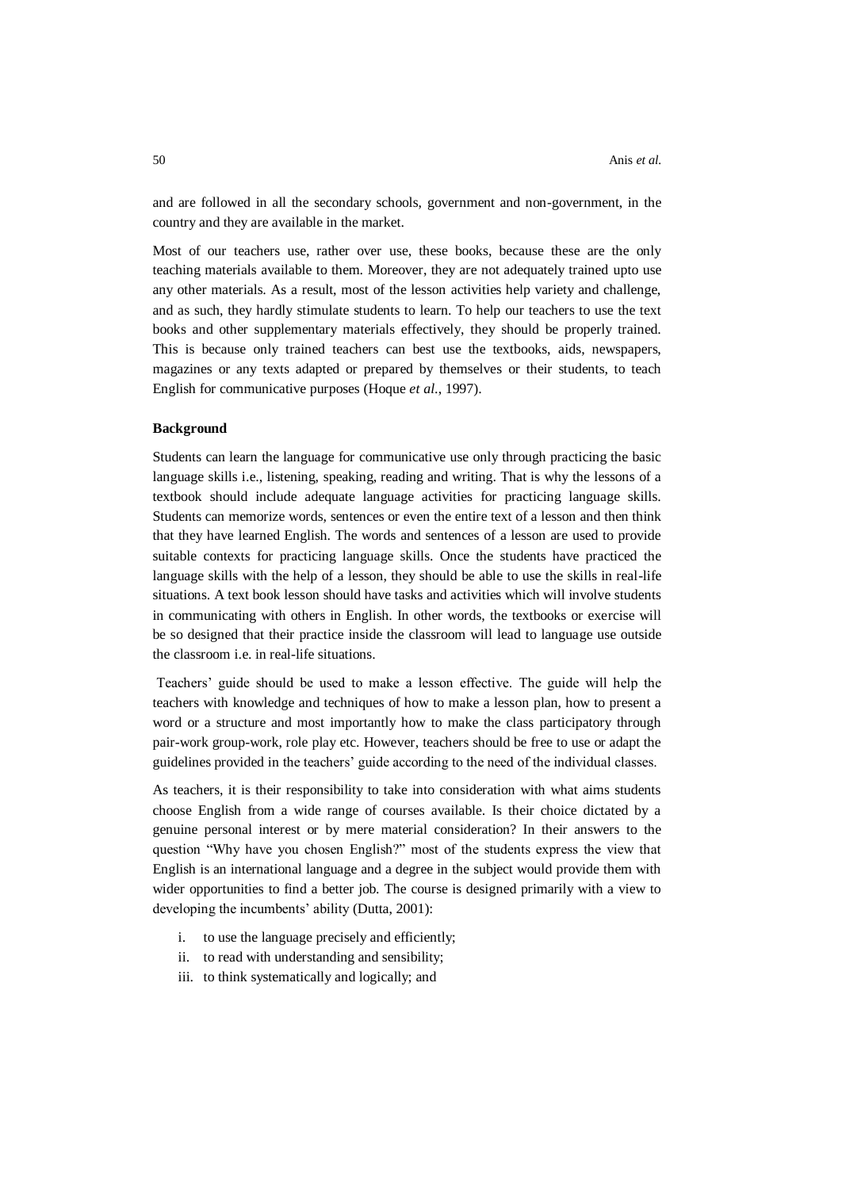and are followed in all the secondary schools, government and non-government, in the country and they are available in the market.

Most of our teachers use, rather over use, these books, because these are the only teaching materials available to them. Moreover, they are not adequately trained upto use any other materials. As a result, most of the lesson activities help variety and challenge, and as such, they hardly stimulate students to learn. To help our teachers to use the text books and other supplementary materials effectively, they should be properly trained. This is because only trained teachers can best use the textbooks, aids, newspapers, magazines or any texts adapted or prepared by themselves or their students, to teach English for communicative purposes (Hoque *et al*., 1997).

## **Background**

Students can learn the language for communicative use only through practicing the basic language skills i.e., listening, speaking, reading and writing. That is why the lessons of a textbook should include adequate language activities for practicing language skills. Students can memorize words, sentences or even the entire text of a lesson and then think that they have learned English. The words and sentences of a lesson are used to provide suitable contexts for practicing language skills. Once the students have practiced the language skills with the help of a lesson, they should be able to use the skills in real-life situations. A text book lesson should have tasks and activities which will involve students in communicating with others in English. In other words, the textbooks or exercise will be so designed that their practice inside the classroom will lead to language use outside the classroom i.e. in real-life situations.

Teachers' guide should be used to make a lesson effective. The guide will help the teachers with knowledge and techniques of how to make a lesson plan, how to present a word or a structure and most importantly how to make the class participatory through pair-work group-work, role play etc. However, teachers should be free to use or adapt the guidelines provided in the teachers' guide according to the need of the individual classes.

As teachers, it is their responsibility to take into consideration with what aims students choose English from a wide range of courses available. Is their choice dictated by a genuine personal interest or by mere material consideration? In their answers to the question "Why have you chosen English?" most of the students express the view that English is an international language and a degree in the subject would provide them with wider opportunities to find a better job. The course is designed primarily with a view to developing the incumbents' ability (Dutta, 2001):

- i. to use the language precisely and efficiently;
- ii. to read with understanding and sensibility;
- iii. to think systematically and logically; and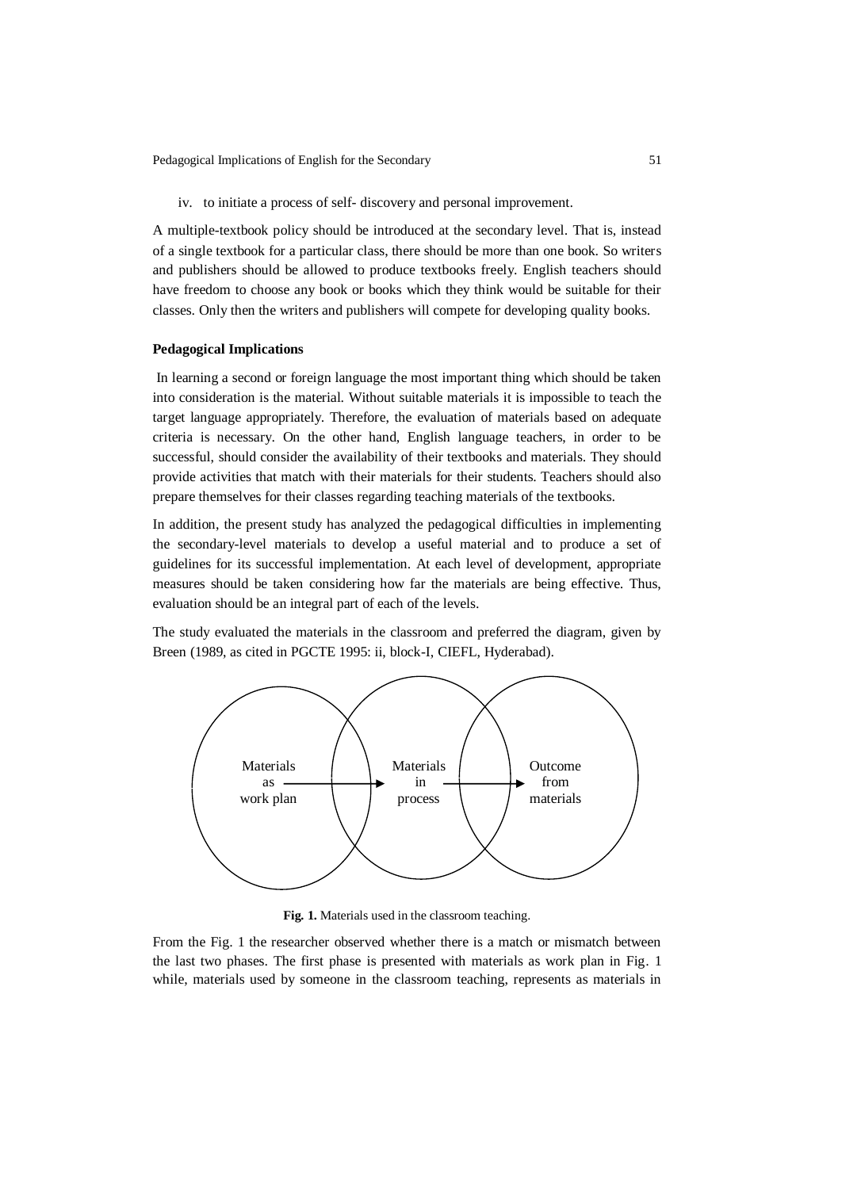Pedagogical Implications of English for the Secondary 51

iv. to initiate a process of self- discovery and personal improvement.

A multiple-textbook policy should be introduced at the secondary level. That is, instead of a single textbook for a particular class, there should be more than one book. So writers and publishers should be allowed to produce textbooks freely. English teachers should have freedom to choose any book or books which they think would be suitable for their classes. Only then the writers and publishers will compete for developing quality books.

### **Pedagogical Implications**

In learning a second or foreign language the most important thing which should be taken into consideration is the material. Without suitable materials it is impossible to teach the target language appropriately. Therefore, the evaluation of materials based on adequate criteria is necessary. On the other hand, English language teachers, in order to be successful, should consider the availability of their textbooks and materials. They should provide activities that match with their materials for their students. Teachers should also prepare themselves for their classes regarding teaching materials of the textbooks.

In addition, the present study has analyzed the pedagogical difficulties in implementing the secondary-level materials to develop a useful material and to produce a set of guidelines for its successful implementation. At each level of development, appropriate measures should be taken considering how far the materials are being effective. Thus, evaluation should be an integral part of each of the levels.

The study evaluated the materials in the classroom and preferred the diagram, given by Breen (1989, as cited in PGCTE 1995: ii, block-I, CIEFL, Hyderabad).



**Fig. 1.** Materials used in the classroom teaching.

From the Fig. 1 the researcher observed whether there is a match or mismatch between the last two phases. The first phase is presented with materials as work plan in Fig. 1 while, materials used by someone in the classroom teaching, represents as materials in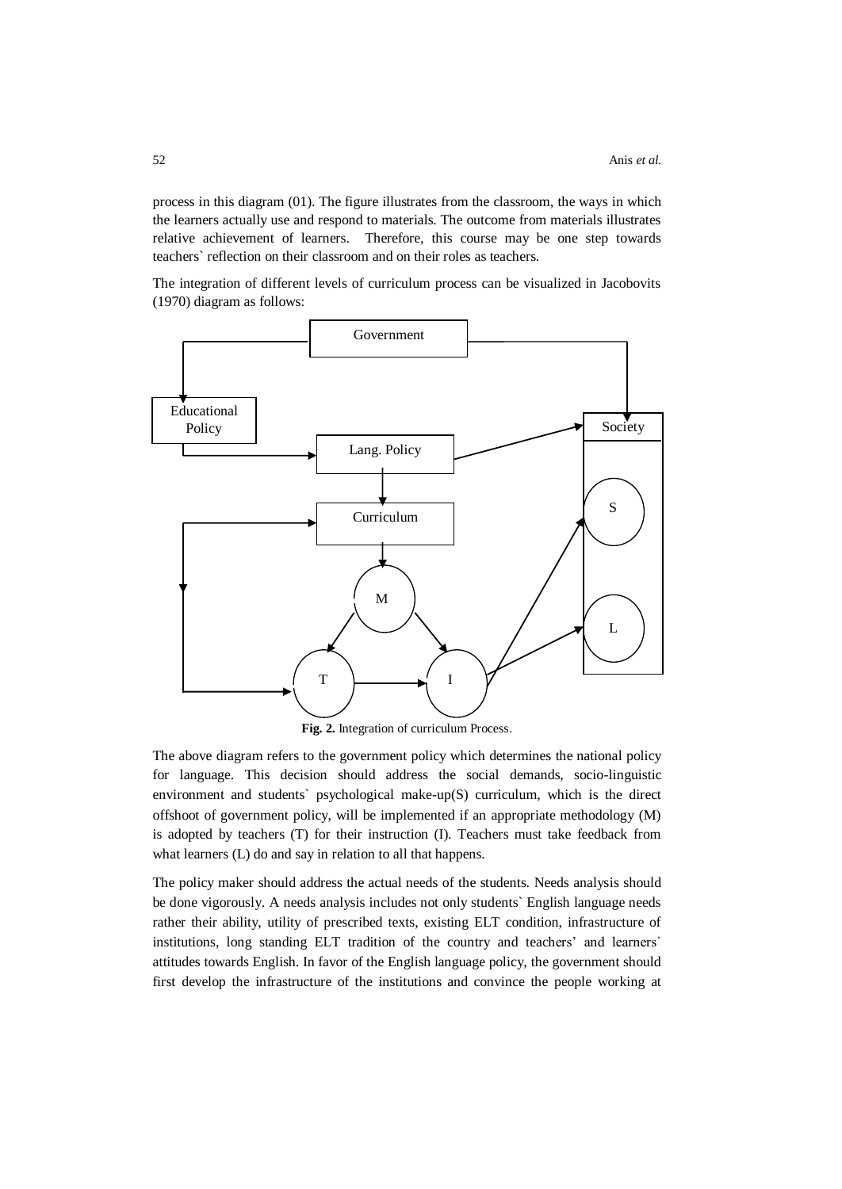process in this diagram (01). The figure illustrates from the classroom, the ways in which the learners actually use and respond to materials. The outcome from materials illustrates relative achievement of learners. Therefore, this course may be one step towards teachers` reflection on their classroom and on their roles as teachers.

The integration of different levels of curriculum process can be visualized in Jacobovits (1970) diagram as follows:



**Fig. 2.** Integration of curriculum Process.

The above diagram refers to the government policy which determines the national policy for language. This decision should address the social demands, socio-linguistic environment and students` psychological make-up(S) curriculum, which is the direct offshoot of government policy, will be implemented if an appropriate methodology (M) is adopted by teachers (T) for their instruction (I). Teachers must take feedback from what learners (L) do and say in relation to all that happens.

The policy maker should address the actual needs of the students. Needs analysis should be done vigorously. A needs analysis includes not only students` English language needs rather their ability, utility of prescribed texts, existing ELT condition, infrastructure of institutions, long standing ELT tradition of the country and teachers' and learners` attitudes towards English. In favor of the English language policy, the government should first develop the infrastructure of the institutions and convince the people working at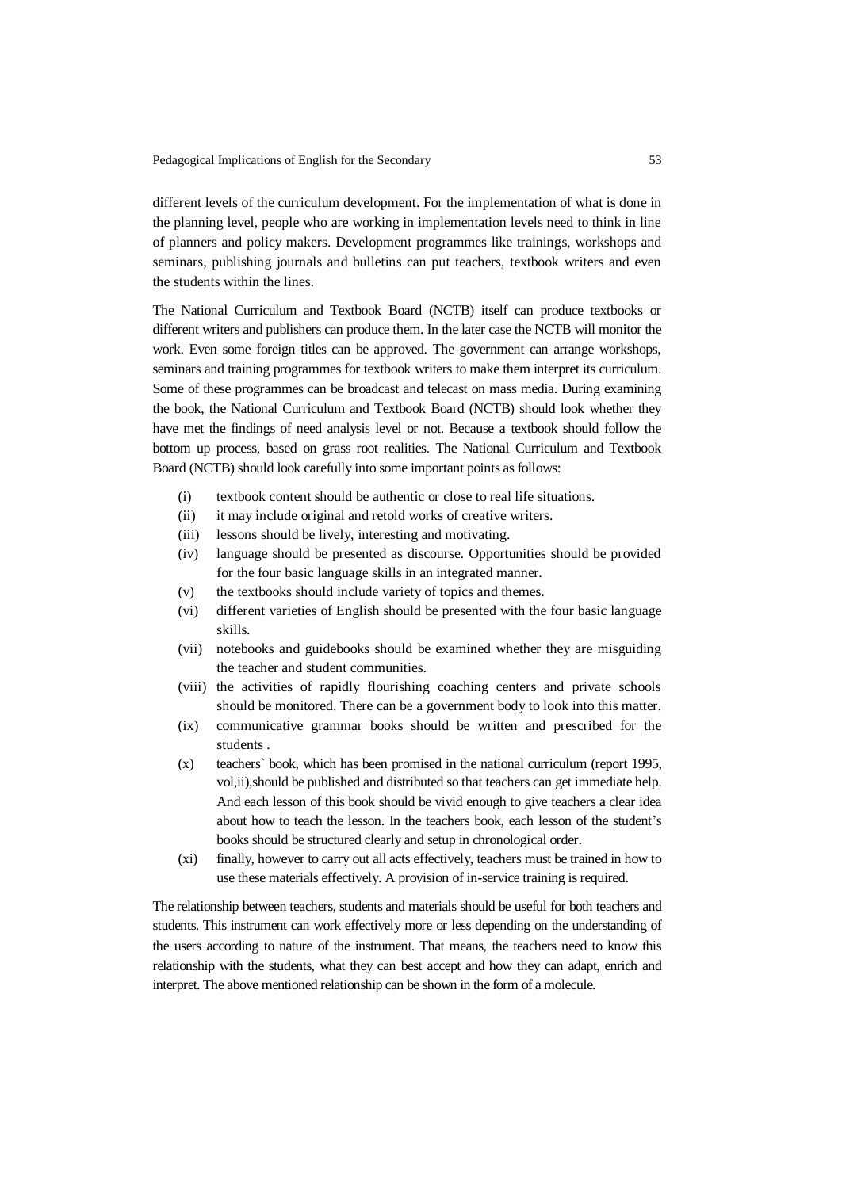Pedagogical Implications of English for the Secondary 53

different levels of the curriculum development. For the implementation of what is done in the planning level, people who are working in implementation levels need to think in line of planners and policy makers. Development programmes like trainings, workshops and seminars, publishing journals and bulletins can put teachers, textbook writers and even the students within the lines.

The National Curriculum and Textbook Board (NCTB) itself can produce textbooks or different writers and publishers can produce them. In the later case the NCTB will monitor the work. Even some foreign titles can be approved. The government can arrange workshops, seminars and training programmes for textbook writers to make them interpret its curriculum. Some of these programmes can be broadcast and telecast on mass media. During examining the book, the National Curriculum and Textbook Board (NCTB) should look whether they have met the findings of need analysis level or not. Because a textbook should follow the bottom up process, based on grass root realities. The National Curriculum and Textbook Board (NCTB) should look carefully into some important points as follows:

- (i) textbook content should be authentic or close to real life situations.
- (ii) it may include original and retold works of creative writers.
- (iii) lessons should be lively, interesting and motivating.
- (iv) language should be presented as discourse. Opportunities should be provided for the four basic language skills in an integrated manner.
- (v) the textbooks should include variety of topics and themes.
- (vi) different varieties of English should be presented with the four basic language skills.
- (vii) notebooks and guidebooks should be examined whether they are misguiding the teacher and student communities.
- (viii) the activities of rapidly flourishing coaching centers and private schools should be monitored. There can be a government body to look into this matter.
- (ix) communicative grammar books should be written and prescribed for the students .
- (x) teachers` book, which has been promised in the national curriculum (report 1995, vol,ii),should be published and distributed so that teachers can get immediate help. And each lesson of this book should be vivid enough to give teachers a clear idea about how to teach the lesson. In the teachers book, each lesson of the student's books should be structured clearly and setup in chronological order.
- (xi) finally, however to carry out all acts effectively, teachers must be trained in how to use these materials effectively. A provision of in-service training is required.

The relationship between teachers, students and materials should be useful for both teachers and students. This instrument can work effectively more or less depending on the understanding of the users according to nature of the instrument. That means, the teachers need to know this relationship with the students, what they can best accept and how they can adapt, enrich and interpret. The above mentioned relationship can be shown in the form of a molecule.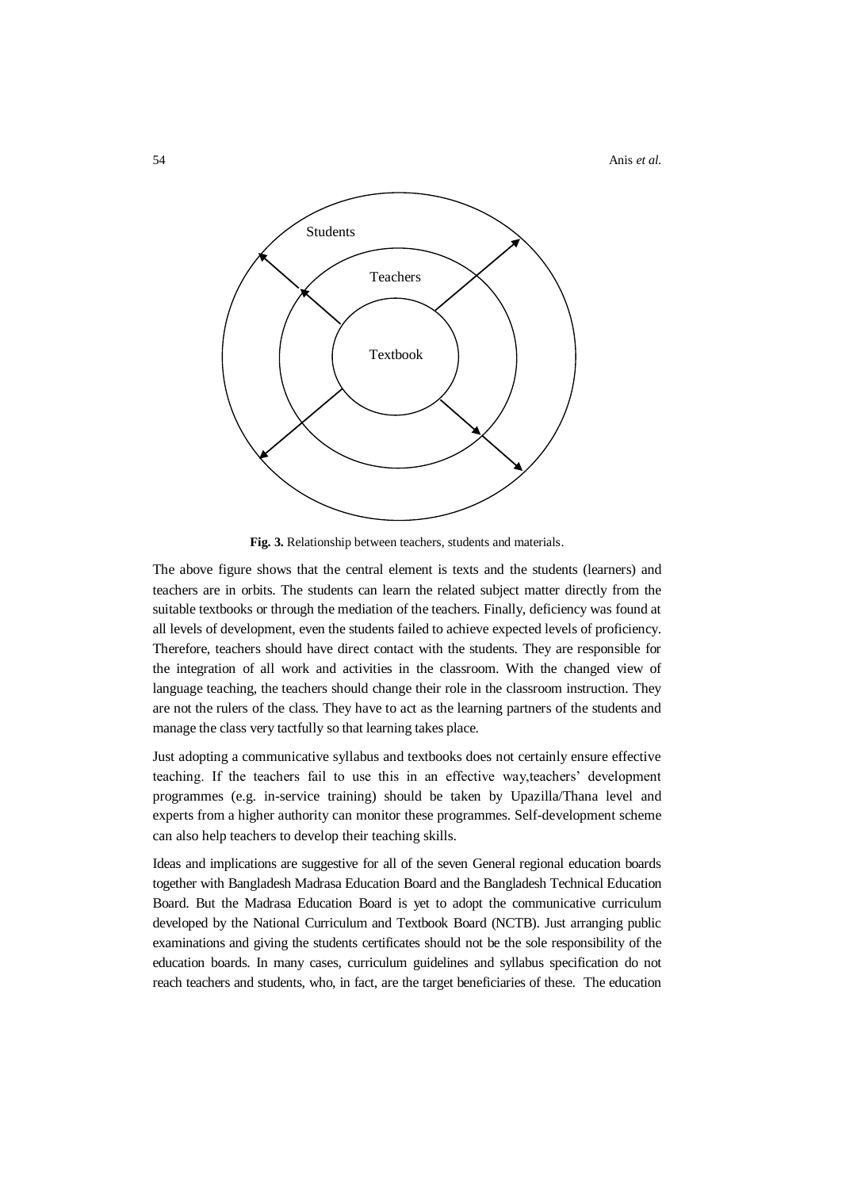54 Anis *et al.*



**Fig. 3.** Relationship between teachers, students and materials.

The above figure shows that the central element is texts and the students (learners) and teachers are in orbits. The students can learn the related subject matter directly from the suitable textbooks or through the mediation of the teachers. Finally, deficiency was found at all levels of development, even the students failed to achieve expected levels of proficiency. Therefore, teachers should have direct contact with the students. They are responsible for the integration of all work and activities in the classroom. With the changed view of language teaching, the teachers should change their role in the classroom instruction. They are not the rulers of the class. They have to act as the learning partners of the students and manage the class very tactfully so that learning takes place.

Just adopting a communicative syllabus and textbooks does not certainly ensure effective teaching. If the teachers fail to use this in an effective way,teachers' development programmes (e.g. in-service training) should be taken by Upazilla/Thana level and experts from a higher authority can monitor these programmes. Self-development scheme can also help teachers to develop their teaching skills.

Ideas and implications are suggestive for all of the seven General regional education boards together with Bangladesh Madrasa Education Board and the Bangladesh Technical Education Board. But the Madrasa Education Board is yet to adopt the communicative curriculum developed by the National Curriculum and Textbook Board (NCTB). Just arranging public examinations and giving the students certificates should not be the sole responsibility of the education boards. In many cases, curriculum guidelines and syllabus specification do not reach teachers and students, who, in fact, are the target beneficiaries of these. The education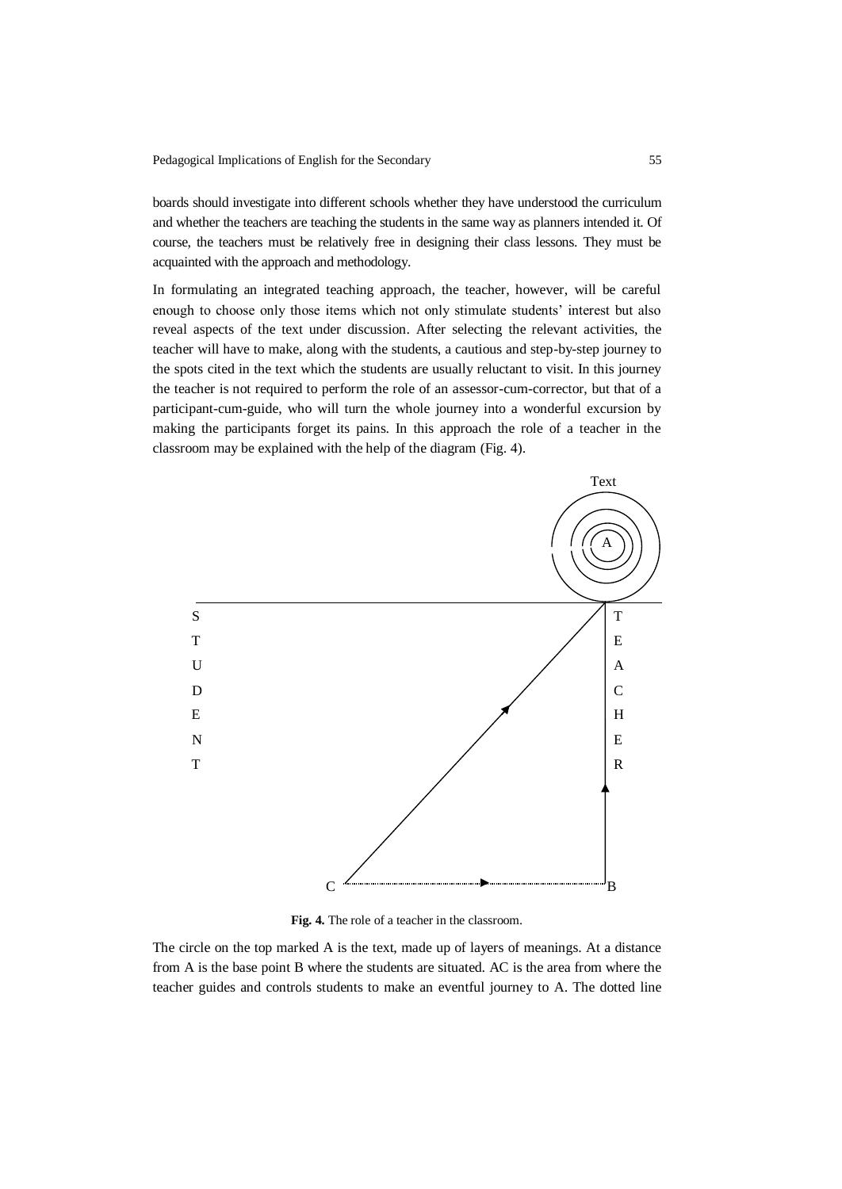boards should investigate into different schools whether they have understood the curriculum and whether the teachers are teaching the students in the same way as planners intended it. Of course, the teachers must be relatively free in designing their class lessons. They must be acquainted with the approach and methodology.

In formulating an integrated teaching approach, the teacher, however, will be careful enough to choose only those items which not only stimulate students' interest but also reveal aspects of the text under discussion. After selecting the relevant activities, the teacher will have to make, along with the students, a cautious and step-by-step journey to the spots cited in the text which the students are usually reluctant to visit. In this journey the teacher is not required to perform the role of an assessor-cum-corrector, but that of a participant-cum-guide, who will turn the whole journey into a wonderful excursion by making the participants forget its pains. In this approach the role of a teacher in the classroom may be explained with the help of the diagram (Fig. 4).



**Fig. 4.** The role of a teacher in the classroom.

The circle on the top marked A is the text, made up of layers of meanings. At a distance from A is the base point B where the students are situated. AC is the area from where the teacher guides and controls students to make an eventful journey to A. The dotted line